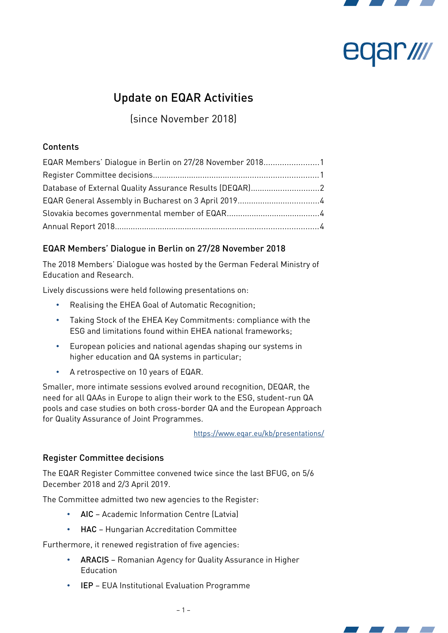

# **NIV JBL**

# Update on EQAR Activities

(since November 2018)

## Contents

| EQAR Members' Dialogue in Berlin on 27/28 November 20181 |  |
|----------------------------------------------------------|--|
|                                                          |  |
| Database of External Quality Assurance Results (DEQAR)2  |  |
| EQAR General Assembly in Bucharest on 3 April 20194      |  |
|                                                          |  |
|                                                          |  |

# <span id="page-0-0"></span>EQAR Members' Dialogue in Berlin on 27/28 November 2018

The 2018 Members' Dialogue was hosted by the German Federal Ministry of Education and Research.

Lively discussions were held following presentations on:

- Realising the EHEA Goal of Automatic Recognition;
- Taking Stock of the EHEA Key Commitments: compliance with the ESG and limitations found within EHEA national frameworks;
- European policies and national agendas shaping our systems in higher education and QA systems in particular;
- A retrospective on 10 years of EQAR.

Smaller, more intimate sessions evolved around recognition, DEQAR, the need for all QAAs in Europe to align their work to the ESG, student-run QA pools and case studies on both cross-border QA and the European Approach for Quality Assurance of Joint Programmes.

<https://www.eqar.eu/kb/presentations/>

### <span id="page-0-1"></span>Register Committee decisions

The EQAR Register Committee convened twice since the last BFUG, on 5/6 December 2018 and 2/3 April 2019.

The Committee admitted two new agencies to the Register:

- AIC Academic Information Centre (Latvia)
- HAC Hungarian Accreditation Committee

Furthermore, it renewed registration of five agencies:

- ARACIS Romanian Agency for Quality Assurance in Higher Education
- IEP EUA Institutional Evaluation Programme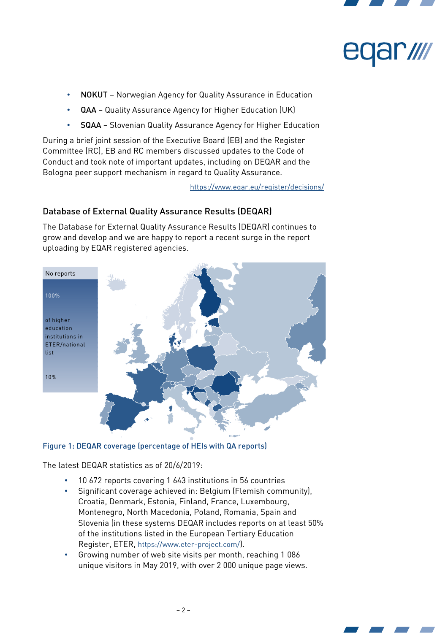



- NOKUT Norwegian Agency for Quality Assurance in Education
- QAA Quality Assurance Agency for Higher Education (UK)
- SQAA Slovenian Quality Assurance Agency for Higher Education

During a brief joint session of the Executive Board (EB) and the Register Committee (RC), EB and RC members discussed updates to the Code of Conduct and took note of important updates, including on DEQAR and the Bologna peer support mechanism in regard to Quality Assurance.

<https://www.eqar.eu/register/decisions/>

# <span id="page-1-0"></span>Database of External Quality Assurance Results (DEQAR)

The Database for External Quality Assurance Results (DEQAR) continues to grow and develop and we are happy to report a recent surge in the report uploading by EQAR registered agencies.



### Figure 1: DEQAR coverage (percentage of HEIs with QA reports)

The latest DEQAR statistics as of 20/6/2019:

- 10 672 reports covering 1 643 institutions in 56 countries
- Significant coverage achieved in: Belgium (Flemish community), Croatia, Denmark, Estonia, Finland, France, Luxembourg, Montenegro, North Macedonia, Poland, Romania, Spain and Slovenia (in these systems DEQAR includes reports on at least 50% of the institutions listed in the European Tertiary Education Register, ETER, <https://www.eter-project.com/>).
- Growing number of web site visits per month, reaching 1 086 unique visitors in May 2019, with over 2 000 unique page views.

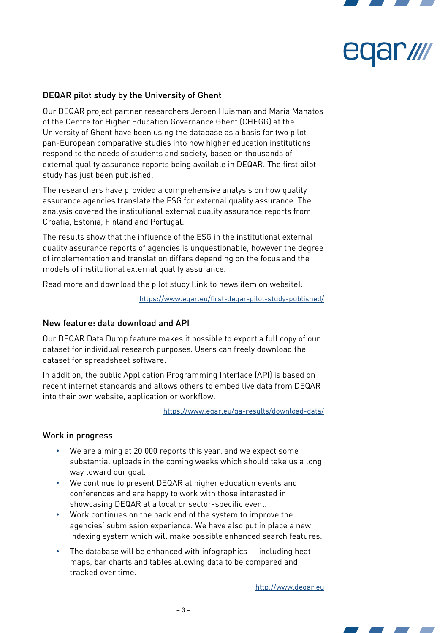



#### DEQAR pilot study by the University of Ghent

Our DEQAR project partner researchers Jeroen Huisman and Maria Manatos of the Centre for Higher Education Governance Ghent (CHEGG) at the University of Ghent have been using the database as a basis for two pilot pan-European comparative studies into how higher education institutions respond to the needs of students and society, based on thousands of external quality assurance reports being available in DEQAR. The first pilot study has just been published.

The researchers have provided a comprehensive analysis on how quality assurance agencies translate the ESG for external quality assurance. The analysis covered the institutional external quality assurance reports from Croatia, Estonia, Finland and Portugal.

The results show that the influence of the ESG in the institutional external quality assurance reports of agencies is unquestionable, however the degree of implementation and translation differs depending on the focus and the models of institutional external quality assurance.

Read more and download the pilot study (link to news item on website):

<https://www.eqar.eu/first-deqar-pilot-study-published/>

#### New feature: data download and API

Our DEQAR Data Dump feature makes it possible to export a full copy of our dataset for individual research purposes. Users can freely download the dataset for spreadsheet software.

In addition, the public Application Programming Interface (API) is based on recent internet standards and allows others to embed live data from DEQAR into their own website, application or workflow.

<https://www.eqar.eu/qa-results/download-data/>

#### Work in progress

- We are aiming at 20 000 reports this year, and we expect some substantial uploads in the coming weeks which should take us a long way toward our goal.
- We continue to present DEQAR at higher education events and conferences and are happy to work with those interested in showcasing DEQAR at a local or sector-specific event.
- Work continues on the back end of the system to improve the agencies' submission experience. We have also put in place a new indexing system which will make possible enhanced search features.
- The database will be enhanced with infographics  $-$  including heat maps, bar charts and tables allowing data to be compared and tracked over time.

http://www.degar.eu